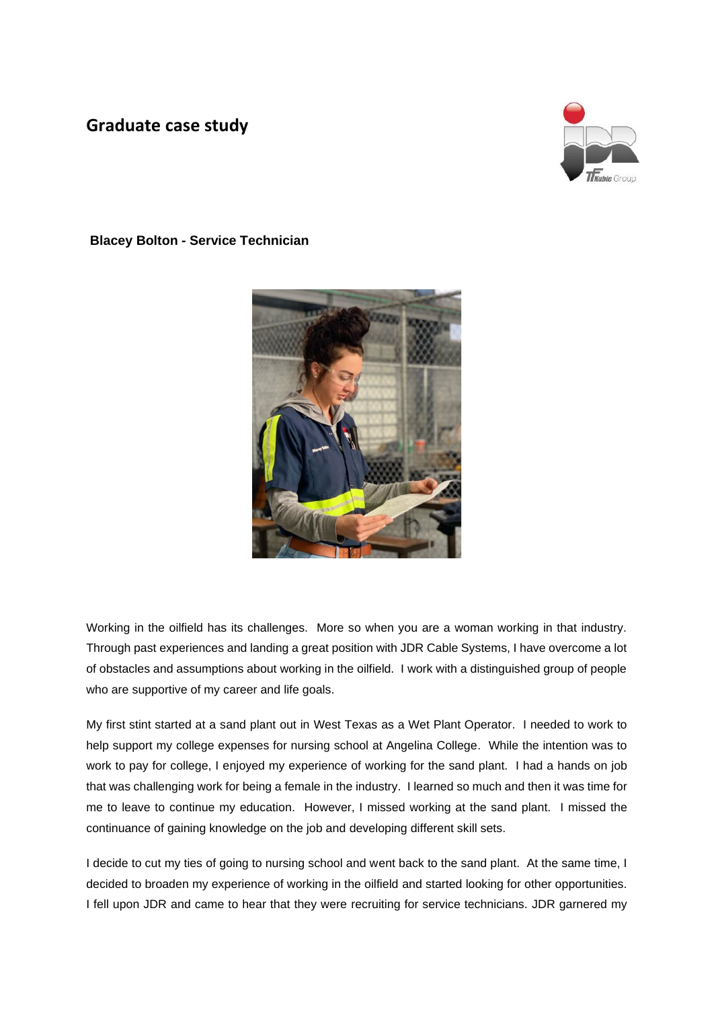## **Graduate case study**



## **Blacey Bolton - Service Technician**



Working in the oilfield has its challenges. More so when you are a woman working in that industry. Through past experiences and landing a great position with JDR Cable Systems, I have overcome a lot of obstacles and assumptions about working in the oilfield. I work with a distinguished group of people who are supportive of my career and life goals.

My first stint started at a sand plant out in West Texas as a Wet Plant Operator. I needed to work to help support my college expenses for nursing school at Angelina College. While the intention was to work to pay for college, I enjoyed my experience of working for the sand plant. I had a hands on job that was challenging work for being a female in the industry. I learned so much and then it was time for me to leave to continue my education. However, I missed working at the sand plant. I missed the continuance of gaining knowledge on the job and developing different skill sets.

I decide to cut my ties of going to nursing school and went back to the sand plant. At the same time, I decided to broaden my experience of working in the oilfield and started looking for other opportunities. I fell upon JDR and came to hear that they were recruiting for service technicians. JDR garnered my